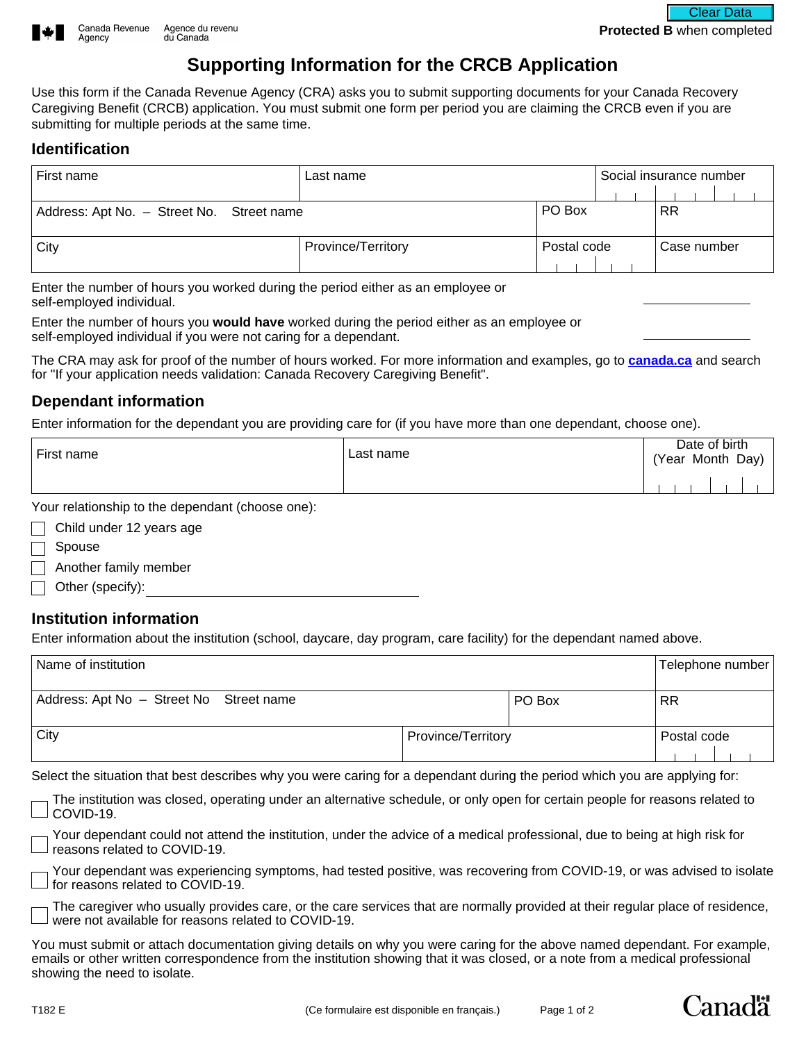

# **Supporting Information for the CRCB Application**

Use this form if the Canada Revenue Agency (CRA) asks you to submit supporting documents for your Canada Recovery Caregiving Benefit (CRCB) application. You must submit one form per period you are claiming the CRCB even if you are submitting for multiple periods at the same time.

### **Identification**

Agency

| First name                                | Last name          |             | Social insurance number |             |  |
|-------------------------------------------|--------------------|-------------|-------------------------|-------------|--|
|                                           |                    |             |                         |             |  |
| Address: Apt No. - Street No. Street name |                    | PO Box      |                         | <b>RR</b>   |  |
| City                                      | Province/Territory | Postal code |                         | Case number |  |

Enter the number of hours you worked during the period either as an employee or self-employed individual.

Enter the number of hours you **would have** worked during the period either as an employee or self-employed individual if you were not caring for a dependant.

The CRA may ask for proof of the number of hours worked. For more information and examples, go to **[canada.ca](https://www.canada.ca/en/revenue-agency/services/benefits/recovery-caregiving-benefit/crcb-validation.html)** and search for "If your application needs validation: Canada Recovery Caregiving Benefit".

## **Dependant information**

Enter information for the dependant you are providing care for (if you have more than one dependant, choose one).

| First name | ∟ast name | Date of birth<br>(Year Month Day) |  |
|------------|-----------|-----------------------------------|--|
|            |           |                                   |  |

Your relationship to the dependant (choose one):

| $\Box$ Child under 12 years age |
|---------------------------------|
| $\Box$ Spouse                   |
| $\Box$ Another family member    |
| $\Box$ Other (specify):         |

## **Institution information**

Enter information about the institution (school, daycare, day program, care facility) for the dependant named above.

| Name of institution                     |                    |        | Telephone number |
|-----------------------------------------|--------------------|--------|------------------|
| Address: Apt No - Street No Street name |                    | PO Box | <b>RR</b>        |
| City                                    | Province/Territory |        | Postal code      |

Select the situation that best describes why you were caring for a dependant during the period which you are applying for:

The institution was closed, operating under an alternative schedule, or only open for certain people for reasons related to COVID-19.

Your dependant could not attend the institution, under the advice of a medical professional, due to being at high risk for reasons related to COVID-19.

Your dependant was experiencing symptoms, had tested positive, was recovering from COVID-19, or was advised to isolate for reasons related to COVID-19.

The caregiver who usually provides care, or the care services that are normally provided at their regular place of residence, were not available for reasons related to COVID-19.

You must submit or attach documentation giving details on why you were caring for the above named dependant. For example, emails or other written correspondence from the institution showing that it was closed, or a note from a medical professional showing the need to isolate.